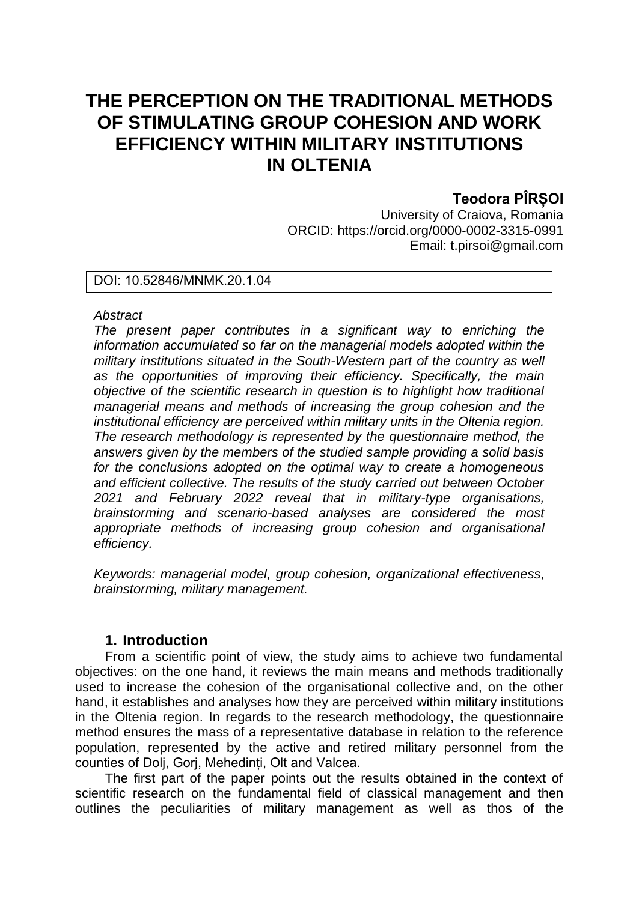# **THE PERCEPTION ON THE TRADITIONAL METHODS OF STIMULATING GROUP COHESION AND WORK EFFICIENCY WITHIN MILITARY INSTITUTIONS IN OLTENIA**

# **Teodora PÎRȘOI**

University of Craiova, Romania ORCID: https://orcid.org/0000-0002-3315-0991 Email: t.pirsoi@gmail.com

DOI: 10.52846/MNMK.20.1.04

### *Abstract*

*The present paper contributes in a significant way to enriching the information accumulated so far on the managerial models adopted within the military institutions situated in the South-Western part of the country as well as the opportunities of improving their efficiency. Specifically, the main objective of the scientific research in question is to highlight how traditional managerial means and methods of increasing the group cohesion and the institutional efficiency are perceived within military units in the Oltenia region. The research methodology is represented by the questionnaire method, the answers given by the members of the studied sample providing a solid basis for the conclusions adopted on the optimal way to create a homogeneous and efficient collective. The results of the study carried out between October 2021 and February 2022 reveal that in military-type organisations, brainstorming and scenario-based analyses are considered the most appropriate methods of increasing group cohesion and organisational efficiency.* 

*Keywords: managerial model, group cohesion, organizational effectiveness, brainstorming, military management.* 

# **1. Introduction**

From a scientific point of view, the study aims to achieve two fundamental objectives: on the one hand, it reviews the main means and methods traditionally used to increase the cohesion of the organisational collective and, on the other hand, it establishes and analyses how they are perceived within military institutions in the Oltenia region. In regards to the research methodology, the questionnaire method ensures the mass of a representative database in relation to the reference population, represented by the active and retired military personnel from the counties of Dolj, Gorj, Mehedinți, Olt and Valcea.

The first part of the paper points out the results obtained in the context of scientific research on the fundamental field of classical management and then outlines the peculiarities of military management as well as thos of the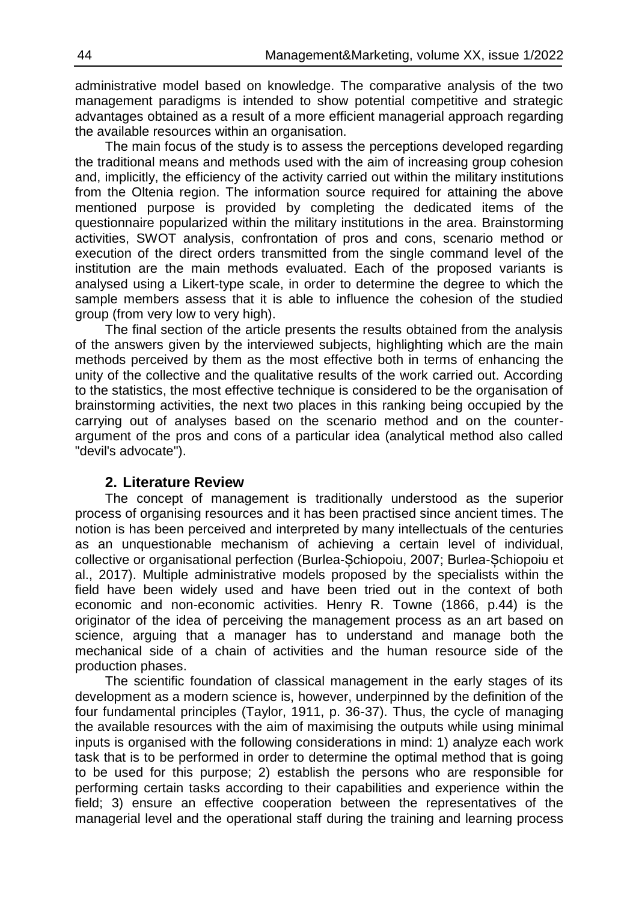administrative model based on knowledge. The comparative analysis of the two management paradigms is intended to show potential competitive and strategic advantages obtained as a result of a more efficient managerial approach regarding the available resources within an organisation.

The main focus of the study is to assess the perceptions developed regarding the traditional means and methods used with the aim of increasing group cohesion and, implicitly, the efficiency of the activity carried out within the military institutions from the Oltenia region. The information source required for attaining the above mentioned purpose is provided by completing the dedicated items of the questionnaire popularized within the military institutions in the area. Brainstorming activities, SWOT analysis, confrontation of pros and cons, scenario method or execution of the direct orders transmitted from the single command level of the institution are the main methods evaluated. Each of the proposed variants is analysed using a Likert-type scale, in order to determine the degree to which the sample members assess that it is able to influence the cohesion of the studied group (from very low to very high).

The final section of the article presents the results obtained from the analysis of the answers given by the interviewed subjects, highlighting which are the main methods perceived by them as the most effective both in terms of enhancing the unity of the collective and the qualitative results of the work carried out. According to the statistics, the most effective technique is considered to be the organisation of brainstorming activities, the next two places in this ranking being occupied by the carrying out of analyses based on the scenario method and on the counterargument of the pros and cons of a particular idea (analytical method also called "devil's advocate").

# **2. Literature Review**

The concept of management is traditionally understood as the superior process of organising resources and it has been practised since ancient times. The notion is has been perceived and interpreted by many intellectuals of the centuries as an unquestionable mechanism of achieving a certain level of individual, collective or organisational perfection (Burlea-Șchiopoiu, 2007; Burlea-Șchiopoiu et al., 2017). Multiple administrative models proposed by the specialists within the field have been widely used and have been tried out in the context of both economic and non-economic activities. Henry R. Towne (1866, p.44) is the originator of the idea of perceiving the management process as an art based on science, arguing that a manager has to understand and manage both the mechanical side of a chain of activities and the human resource side of the production phases.

The scientific foundation of classical management in the early stages of its development as a modern science is, however, underpinned by the definition of the four fundamental principles (Taylor, 1911, p. 36-37). Thus, the cycle of managing the available resources with the aim of maximising the outputs while using minimal inputs is organised with the following considerations in mind: 1) analyze each work task that is to be performed in order to determine the optimal method that is going to be used for this purpose; 2) establish the persons who are responsible for performing certain tasks according to their capabilities and experience within the field; 3) ensure an effective cooperation between the representatives of the managerial level and the operational staff during the training and learning process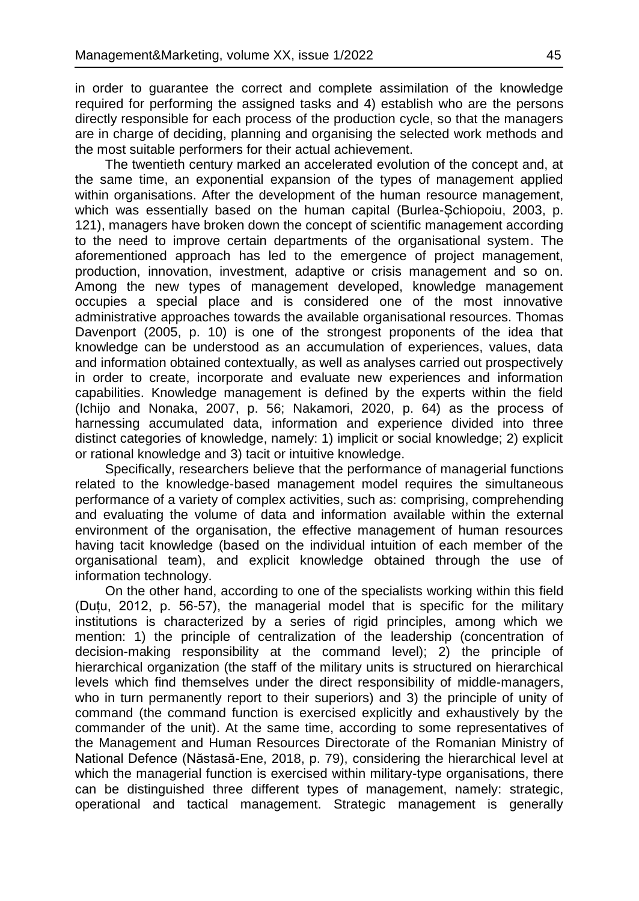in order to guarantee the correct and complete assimilation of the knowledge required for performing the assigned tasks and 4) establish who are the persons directly responsible for each process of the production cycle, so that the managers are in charge of deciding, planning and organising the selected work methods and the most suitable performers for their actual achievement.

The twentieth century marked an accelerated evolution of the concept and, at the same time, an exponential expansion of the types of management applied within organisations. After the development of the human resource management, which was essentially based on the human capital (Burlea-Șchiopoiu, 2003, p. 121), managers have broken down the concept of scientific management according to the need to improve certain departments of the organisational system. The aforementioned approach has led to the emergence of project management, production, innovation, investment, adaptive or crisis management and so on. Among the new types of management developed, knowledge management occupies a special place and is considered one of the most innovative administrative approaches towards the available organisational resources. Thomas Davenport (2005, p. 10) is one of the strongest proponents of the idea that knowledge can be understood as an accumulation of experiences, values, data and information obtained contextually, as well as analyses carried out prospectively in order to create, incorporate and evaluate new experiences and information capabilities. Knowledge management is defined by the experts within the field (Ichijo and Nonaka, 2007, p. 56; Nakamori, 2020, p. 64) as the process of harnessing accumulated data, information and experience divided into three distinct categories of knowledge, namely: 1) implicit or social knowledge; 2) explicit or rational knowledge and 3) tacit or intuitive knowledge.

Specifically, researchers believe that the performance of managerial functions related to the knowledge-based management model requires the simultaneous performance of a variety of complex activities, such as: comprising, comprehending and evaluating the volume of data and information available within the external environment of the organisation, the effective management of human resources having tacit knowledge (based on the individual intuition of each member of the organisational team), and explicit knowledge obtained through the use of information technology.

On the other hand, according to one of the specialists working within this field (Duțu, 2012, p. 56-57), the managerial model that is specific for the military institutions is characterized by a series of rigid principles, among which we mention: 1) the principle of centralization of the leadership (concentration of decision-making responsibility at the command level); 2) the principle of hierarchical organization (the staff of the military units is structured on hierarchical levels which find themselves under the direct responsibility of middle-managers, who in turn permanently report to their superiors) and 3) the principle of unity of command (the command function is exercised explicitly and exhaustively by the commander of the unit). At the same time, according to some representatives of the Management and Human Resources Directorate of the Romanian Ministry of National Defence (Năstasă-Ene, 2018, p. 79), considering the hierarchical level at which the managerial function is exercised within military-type organisations, there can be distinguished three different types of management, namely: strategic, operational and tactical management. Strategic management is generally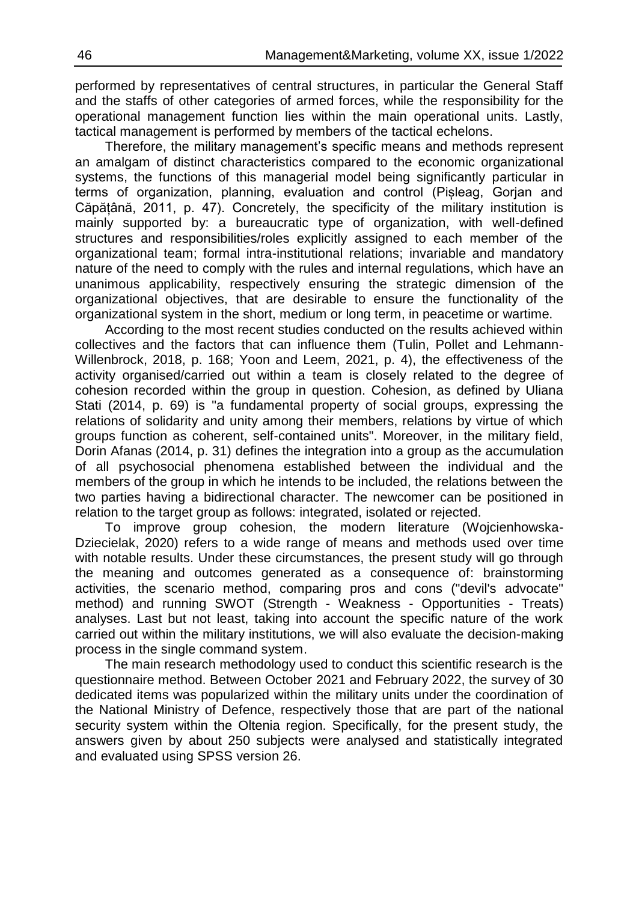ֺ֝֡ performed by representatives of central structures, in particular the General Staff and the staffs of other categories of armed forces, while the responsibility for the operational management function lies within the main operational units. Lastly, tactical management is performed by members of the tactical echelons.

Therefore, the military management's specific means and methods represent an amalgam of distinct characteristics compared to the economic organizational systems, the functions of this managerial model being significantly particular in terms of organization, planning, evaluation and control (Pișleag, Gorjan and Căpățână, 2011, p. 47). Concretely, the specificity of the military institution is mainly supported by: a bureaucratic type of organization, with well-defined structures and responsibilities/roles explicitly assigned to each member of the organizational team; formal intra-institutional relations; invariable and mandatory nature of the need to comply with the rules and internal regulations, which have an unanimous applicability, respectively ensuring the strategic dimension of the organizational objectives, that are desirable to ensure the functionality of the organizational system in the short, medium or long term, in peacetime or wartime.

According to the most recent studies conducted on the results achieved within collectives and the factors that can influence them (Tulin, Pollet and Lehmann-Willenbrock, 2018, p. 168; Yoon and Leem, 2021, p. 4), the effectiveness of the activity organised/carried out within a team is closely related to the degree of cohesion recorded within the group in question. Cohesion, as defined by Uliana Stati (2014, p. 69) is "a fundamental property of social groups, expressing the relations of solidarity and unity among their members, relations by virtue of which groups function as coherent, self-contained units". Moreover, in the military field, Dorin Afanas (2014, p. 31) defines the integration into a group as the accumulation of all psychosocial phenomena established between the individual and the members of the group in which he intends to be included, the relations between the two parties having a bidirectional character. The newcomer can be positioned in relation to the target group as follows: integrated, isolated or rejected.

To improve group cohesion, the modern literature (Wojcienhowska-Dziecielak, 2020) refers to a wide range of means and methods used over time with notable results. Under these circumstances, the present study will go through the meaning and outcomes generated as a consequence of: brainstorming activities, the scenario method, comparing pros and cons ("devil's advocate" method) and running SWOT (Strength - Weakness - Opportunities - Treats) analyses. Last but not least, taking into account the specific nature of the work carried out within the military institutions, we will also evaluate the decision-making process in the single command system.

The main research methodology used to conduct this scientific research is the questionnaire method. Between October 2021 and February 2022, the survey of 30 dedicated items was popularized within the military units under the coordination of the National Ministry of Defence, respectively those that are part of the national security system within the Oltenia region. Specifically, for the present study, the answers given by about 250 subjects were analysed and statistically integrated and evaluated using SPSS version 26.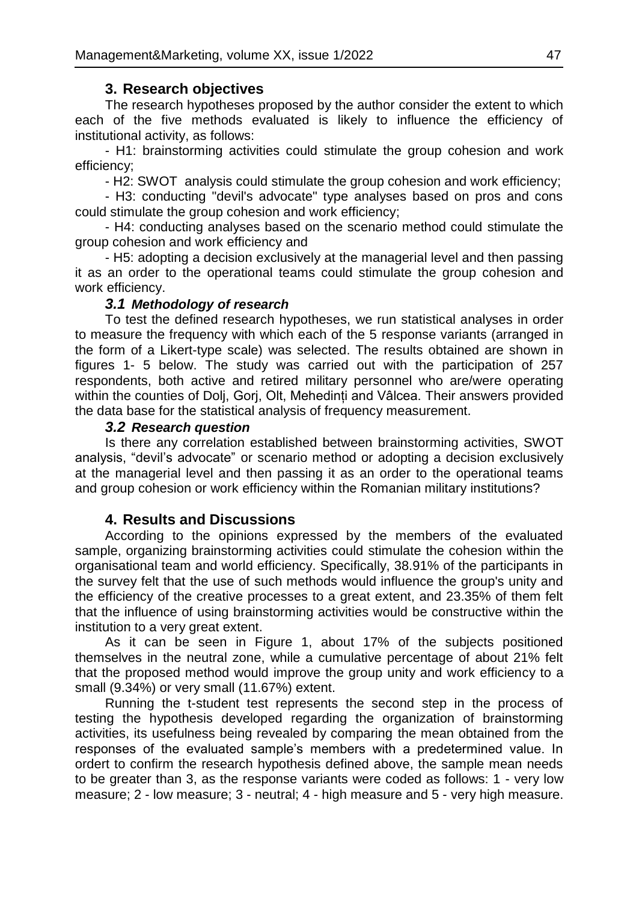# **3. Research objectives**

The research hypotheses proposed by the author consider the extent to which each of the five methods evaluated is likely to influence the efficiency of institutional activity, as follows:

- H1: brainstorming activities could stimulate the group cohesion and work efficiency;

- H2: SWOT analysis could stimulate the group cohesion and work efficiency;

- H3: conducting "devil's advocate" type analyses based on pros and cons could stimulate the group cohesion and work efficiency;

- H4: conducting analyses based on the scenario method could stimulate the group cohesion and work efficiency and

- H5: adopting a decision exclusively at the managerial level and then passing it as an order to the operational teams could stimulate the group cohesion and work efficiency.

### *3.1 Methodology of research*

To test the defined research hypotheses, we run statistical analyses in order to measure the frequency with which each of the 5 response variants (arranged in the form of a Likert-type scale) was selected. The results obtained are shown in figures 1- 5 below. The study was carried out with the participation of 257 respondents, both active and retired military personnel who are/were operating within the counties of Dolj, Gorj, Olt, Mehedinți and Vâlcea. Their answers provided the data base for the statistical analysis of frequency measurement.

#### *3.2 Research question*

Is there any correlation established between brainstorming activities, SWOT analysis, "devil's advocate" or scenario method or adopting a decision exclusively at the managerial level and then passing it as an order to the operational teams and group cohesion or work efficiency within the Romanian military institutions?

### **4. Results and Discussions**

According to the opinions expressed by the members of the evaluated sample, organizing brainstorming activities could stimulate the cohesion within the organisational team and world efficiency. Specifically, 38.91% of the participants in the survey felt that the use of such methods would influence the group's unity and the efficiency of the creative processes to a great extent, and 23.35% of them felt that the influence of using brainstorming activities would be constructive within the institution to a very great extent.

As it can be seen in Figure 1, about 17% of the subjects positioned themselves in the neutral zone, while a cumulative percentage of about 21% felt that the proposed method would improve the group unity and work efficiency to a small (9.34%) or very small (11.67%) extent.

Running the t-student test represents the second step in the process of testing the hypothesis developed regarding the organization of brainstorming activities, its usefulness being revealed by comparing the mean obtained from the responses of the evaluated sample's members with a predetermined value. In ordert to confirm the research hypothesis defined above, the sample mean needs to be greater than 3, as the response variants were coded as follows: 1 - very low measure; 2 - low measure; 3 - neutral; 4 - high measure and 5 - very high measure.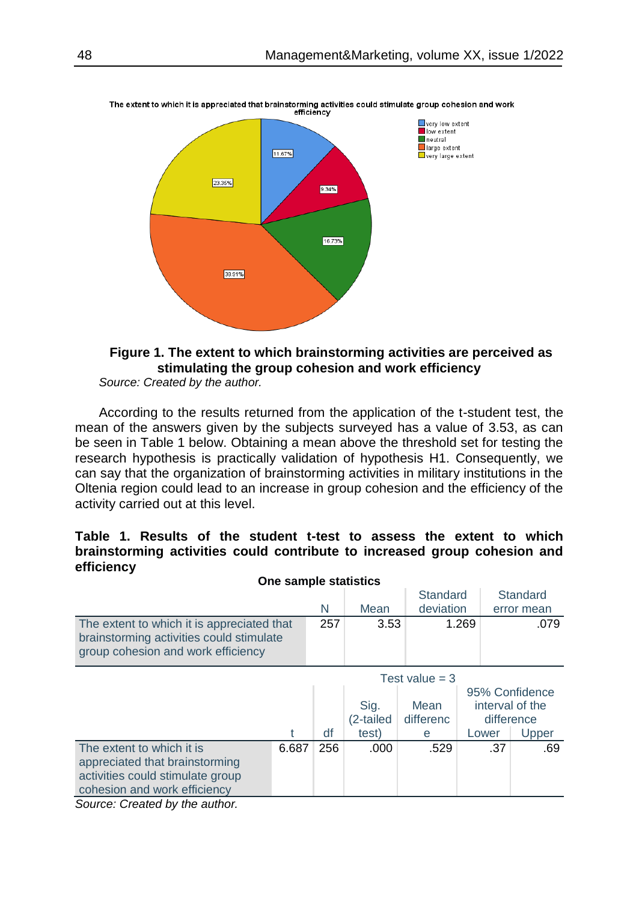

The extent to which it is appreciated that brainstorming activities could stimulate group cohesion and work<br>efficiency

# **Figure 1. The extent to which brainstorming activities are perceived as stimulating the group cohesion and work efficiency**

*Source: Created by the author.*

According to the results returned from the application of the t-student test, the mean of the answers given by the subjects surveyed has a value of 3.53, as can be seen in Table 1 below. Obtaining a mean above the threshold set for testing the research hypothesis is practically validation of hypothesis H1. Consequently, we can say that the organization of brainstorming activities in military institutions in the Oltenia region could lead to an increase in group cohesion and the efficiency of the activity carried out at this level.

# **Table 1. Results of the student t-test to assess the extent to which brainstorming activities could contribute to increased group cohesion and efficiency**

| One sample statistics                      |       |     |           |                  |       |                 |  |  |  |  |
|--------------------------------------------|-------|-----|-----------|------------------|-------|-----------------|--|--|--|--|
|                                            |       |     |           | Standard         |       | Standard        |  |  |  |  |
|                                            |       | N   | Mean      | deviation        |       | error mean      |  |  |  |  |
| The extent to which it is appreciated that |       | 257 | 3.53      |                  | 1.269 | .079            |  |  |  |  |
| brainstorming activities could stimulate   |       |     |           |                  |       |                 |  |  |  |  |
| group cohesion and work efficiency         |       |     |           |                  |       |                 |  |  |  |  |
|                                            |       |     |           | Test value $=$ 3 |       |                 |  |  |  |  |
|                                            |       |     |           |                  |       | 95% Confidence  |  |  |  |  |
|                                            |       |     | Sig.      | Mean             |       | interval of the |  |  |  |  |
|                                            |       |     | (2-tailed | differenc        |       | difference      |  |  |  |  |
|                                            |       | df  | test)     | е                | Lower | Upper           |  |  |  |  |
| The extent to which it is                  | 6.687 | 256 | .000      | .529             |       | .37<br>.69      |  |  |  |  |
| appreciated that brainstorming             |       |     |           |                  |       |                 |  |  |  |  |
| activities could stimulate group           |       |     |           |                  |       |                 |  |  |  |  |
| cohesion and work efficiency               |       |     |           |                  |       |                 |  |  |  |  |

*Source: Created by the author.*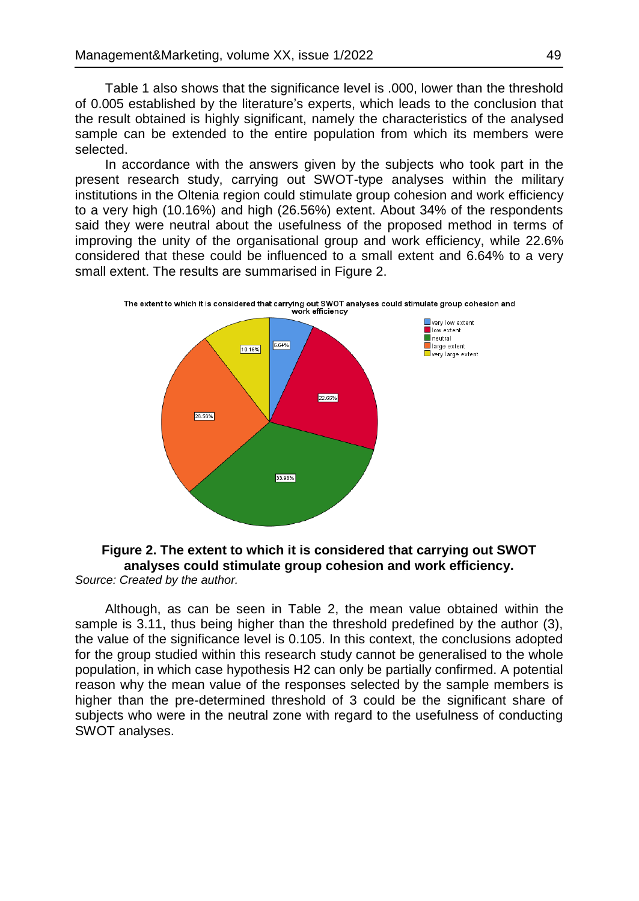Table 1 also shows that the significance level is .000, lower than the threshold of 0.005 established by the literature's experts, which leads to the conclusion that the result obtained is highly significant, namely the characteristics of the analysed sample can be extended to the entire population from which its members were selected.

In accordance with the answers given by the subjects who took part in the present research study, carrying out SWOT-type analyses within the military institutions in the Oltenia region could stimulate group cohesion and work efficiency to a very high (10.16%) and high (26.56%) extent. About 34% of the respondents said they were neutral about the usefulness of the proposed method in terms of improving the unity of the organisational group and work efficiency, while 22.6% considered that these could be influenced to a small extent and 6.64% to a very small extent. The results are summarised in Figure 2.



# **Figure 2. The extent to which it is considered that carrying out SWOT analyses could stimulate group cohesion and work efficiency.**

*Source: Created by the author.*

Although, as can be seen in Table 2, the mean value obtained within the sample is 3.11, thus being higher than the threshold predefined by the author (3), the value of the significance level is 0.105. In this context, the conclusions adopted for the group studied within this research study cannot be generalised to the whole population, in which case hypothesis H2 can only be partially confirmed. A potential reason why the mean value of the responses selected by the sample members is higher than the pre-determined threshold of 3 could be the significant share of subjects who were in the neutral zone with regard to the usefulness of conducting SWOT analyses.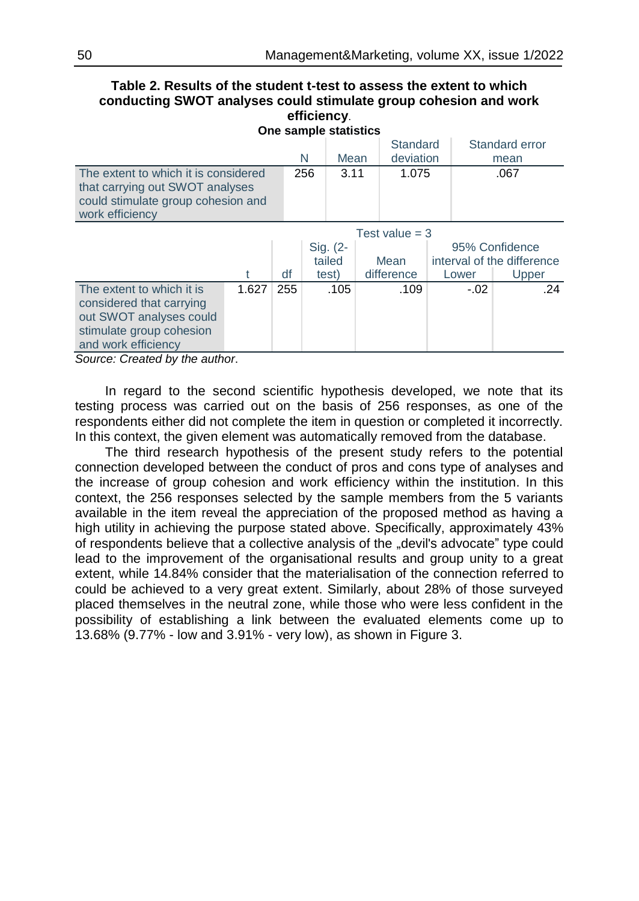#### **Table 2. Results of the student t-test to assess the extent to which conducting SWOT analyses could stimulate group cohesion and work efficiency**. **One sample statistics**

| <b>OTE SAILDIE STATISTICS</b>                                                                                                    |       |     |           |          |            |                |        |                            |  |  |
|----------------------------------------------------------------------------------------------------------------------------------|-------|-----|-----------|----------|------------|----------------|--------|----------------------------|--|--|
|                                                                                                                                  |       |     |           |          |            | Standard       |        | Standard error             |  |  |
|                                                                                                                                  |       |     | N<br>Mean |          | deviation  |                | mean   |                            |  |  |
| The extent to which it is considered<br>that carrying out SWOT analyses<br>could stimulate group cohesion and<br>work efficiency |       |     | 256       | 3.11     | 1.075      | .067           |        |                            |  |  |
| Test value $=$ 3                                                                                                                 |       |     |           |          |            |                |        |                            |  |  |
|                                                                                                                                  |       |     |           | Sig. (2- |            | 95% Confidence |        |                            |  |  |
|                                                                                                                                  |       |     | tailed    |          | Mean       |                |        | interval of the difference |  |  |
|                                                                                                                                  | t     | df  |           | test)    | difference |                | Lower  | Upper                      |  |  |
| The extent to which it is                                                                                                        | 1.627 | 255 |           | .105     | .109       |                | $-.02$ | .24                        |  |  |
| considered that carrying                                                                                                         |       |     |           |          |            |                |        |                            |  |  |
| out SWOT analyses could                                                                                                          |       |     |           |          |            |                |        |                            |  |  |
| stimulate group cohesion                                                                                                         |       |     |           |          |            |                |        |                            |  |  |
| and work efficiency                                                                                                              |       |     |           |          |            |                |        |                            |  |  |

*Source: Created by the author*.

In regard to the second scientific hypothesis developed, we note that its testing process was carried out on the basis of 256 responses, as one of the respondents either did not complete the item in question or completed it incorrectly. In this context, the given element was automatically removed from the database.

The third research hypothesis of the present study refers to the potential connection developed between the conduct of pros and cons type of analyses and the increase of group cohesion and work efficiency within the institution. In this context, the 256 responses selected by the sample members from the 5 variants available in the item reveal the appreciation of the proposed method as having a high utility in achieving the purpose stated above. Specifically, approximately 43% of respondents believe that a collective analysis of the "devil's advocate" type could lead to the improvement of the organisational results and group unity to a great extent, while 14.84% consider that the materialisation of the connection referred to could be achieved to a very great extent. Similarly, about 28% of those surveyed placed themselves in the neutral zone, while those who were less confident in the possibility of establishing a link between the evaluated elements come up to 13.68% (9.77% - low and 3.91% - very low), as shown in Figure 3.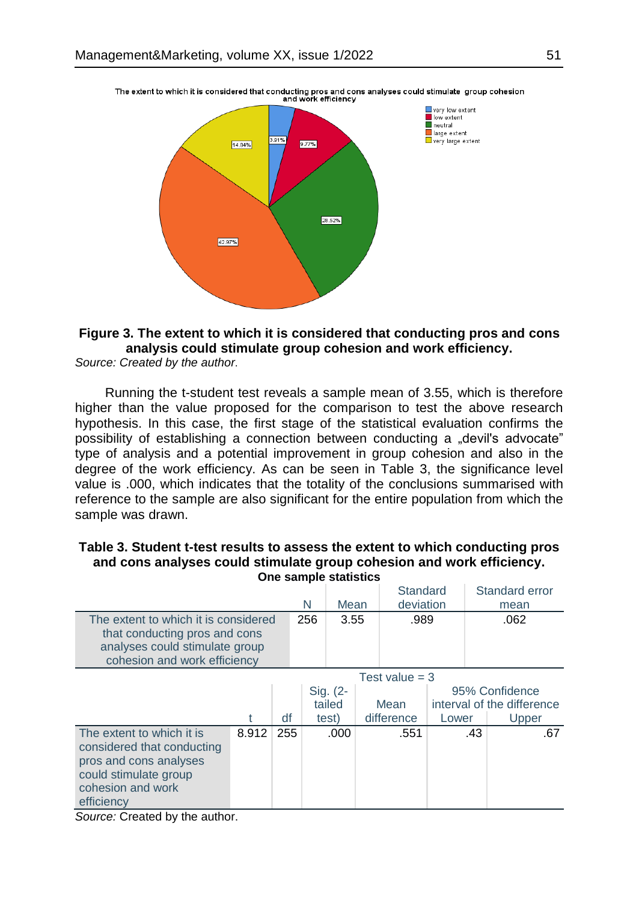

The extent to which it is considered that conducting pros and cons analyses could stimulate group cohesion<br>and work efficiency

# **Figure 3. The extent to which it is considered that conducting pros and cons analysis could stimulate group cohesion and work efficiency.**

*Source: Created by the author*.

Running the t-student test reveals a sample mean of 3.55, which is therefore higher than the value proposed for the comparison to test the above research hypothesis. In this case, the first stage of the statistical evaluation confirms the possibility of establishing a connection between conducting a "devil's advocate" type of analysis and a potential improvement in group cohesion and also in the degree of the work efficiency. As can be seen in Table 3, the significance level value is .000, which indicates that the totality of the conclusions summarised with reference to the sample are also significant for the entire population from which the sample was drawn.

| <b>One sample statistics</b>                                                                                                                  |       |     |     |                             |  |                             |  |                                                       |     |  |
|-----------------------------------------------------------------------------------------------------------------------------------------------|-------|-----|-----|-----------------------------|--|-----------------------------|--|-------------------------------------------------------|-----|--|
|                                                                                                                                               |       |     |     |                             |  | Standard                    |  | Standard error                                        |     |  |
|                                                                                                                                               |       |     |     | Mean                        |  | deviation                   |  | mean                                                  |     |  |
| The extent to which it is considered<br>that conducting pros and cons<br>analyses could stimulate group<br>cohesion and work efficiency       |       |     | 256 | 3.55                        |  | .989                        |  | .062                                                  |     |  |
| Test value $=$ 3                                                                                                                              |       |     |     |                             |  |                             |  |                                                       |     |  |
|                                                                                                                                               | df    |     |     | Sig. (2-<br>tailed<br>test) |  | Mean<br>difference<br>Lower |  | 95% Confidence<br>interval of the difference<br>Upper |     |  |
| The extent to which it is<br>considered that conducting<br>pros and cons analyses<br>could stimulate group<br>cohesion and work<br>efficiency | 8.912 | 255 |     | .000                        |  | .551                        |  | .43                                                   | .67 |  |

**Table 3. Student t-test results to assess the extent to which conducting pros and cons analyses could stimulate group cohesion and work efficiency. One sample statistics**

*Source:* Created by the author.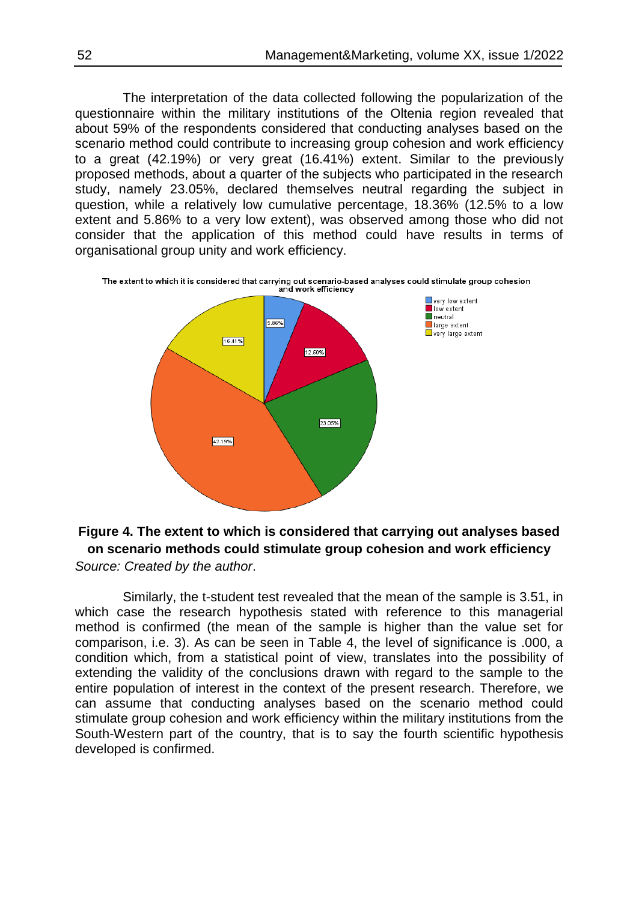The interpretation of the data collected following the popularization of the questionnaire within the military institutions of the Oltenia region revealed that about 59% of the respondents considered that conducting analyses based on the scenario method could contribute to increasing group cohesion and work efficiency to a great (42.19%) or very great (16.41%) extent. Similar to the previously proposed methods, about a quarter of the subjects who participated in the research study, namely 23.05%, declared themselves neutral regarding the subject in question, while a relatively low cumulative percentage, 18.36% (12.5% to a low extent and 5.86% to a very low extent), was observed among those who did not consider that the application of this method could have results in terms of organisational group unity and work efficiency.





Similarly, the t-student test revealed that the mean of the sample is 3.51, in which case the research hypothesis stated with reference to this managerial method is confirmed (the mean of the sample is higher than the value set for comparison, i.e. 3). As can be seen in Table 4, the level of significance is .000, a condition which, from a statistical point of view, translates into the possibility of extending the validity of the conclusions drawn with regard to the sample to the entire population of interest in the context of the present research. Therefore, we can assume that conducting analyses based on the scenario method could stimulate group cohesion and work efficiency within the military institutions from the South-Western part of the country, that is to say the fourth scientific hypothesis developed is confirmed.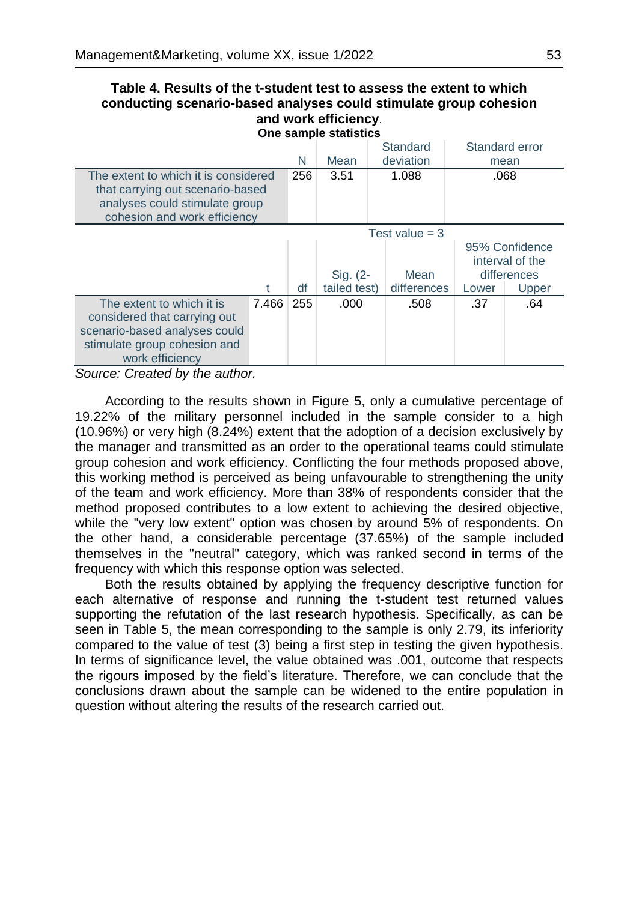#### **Table 4. Results of the t-student test to assess the extent to which conducting scenario-based analyses could stimulate group cohesion and work efficiency**. **One sample statistics**

|                                                                                                                                               |       |     | Mean                     | Standard<br>deviation |                                                                    | Standard error<br>mean |  |
|-----------------------------------------------------------------------------------------------------------------------------------------------|-------|-----|--------------------------|-----------------------|--------------------------------------------------------------------|------------------------|--|
| The extent to which it is considered<br>that carrying out scenario-based<br>analyses could stimulate group<br>cohesion and work efficiency    |       | 256 | 3.51                     | 1.088                 | .068                                                               |                        |  |
|                                                                                                                                               |       |     | Test value $=$ 3         |                       |                                                                    |                        |  |
|                                                                                                                                               | t     | df  | Sig. (2-<br>tailed test) | Mean<br>differences   | 95% Confidence<br>interval of the<br>differences<br>Upper<br>Lower |                        |  |
| The extent to which it is<br>considered that carrying out<br>scenario-based analyses could<br>stimulate group cohesion and<br>work efficiency | 7.466 | 255 | .000                     | .508                  | .37                                                                | .64                    |  |

*Source: Created by the author.*

According to the results shown in Figure 5, only a cumulative percentage of 19.22% of the military personnel included in the sample consider to a high (10.96%) or very high (8.24%) extent that the adoption of a decision exclusively by the manager and transmitted as an order to the operational teams could stimulate group cohesion and work efficiency. Conflicting the four methods proposed above, this working method is perceived as being unfavourable to strengthening the unity of the team and work efficiency. More than 38% of respondents consider that the method proposed contributes to a low extent to achieving the desired objective, while the "very low extent" option was chosen by around 5% of respondents. On the other hand, a considerable percentage (37.65%) of the sample included themselves in the "neutral" category, which was ranked second in terms of the frequency with which this response option was selected.

Both the results obtained by applying the frequency descriptive function for each alternative of response and running the t-student test returned values supporting the refutation of the last research hypothesis. Specifically, as can be seen in Table 5, the mean corresponding to the sample is only 2.79, its inferiority compared to the value of test (3) being a first step in testing the given hypothesis. In terms of significance level, the value obtained was .001, outcome that respects the rigours imposed by the field's literature. Therefore, we can conclude that the conclusions drawn about the sample can be widened to the entire population in question without altering the results of the research carried out.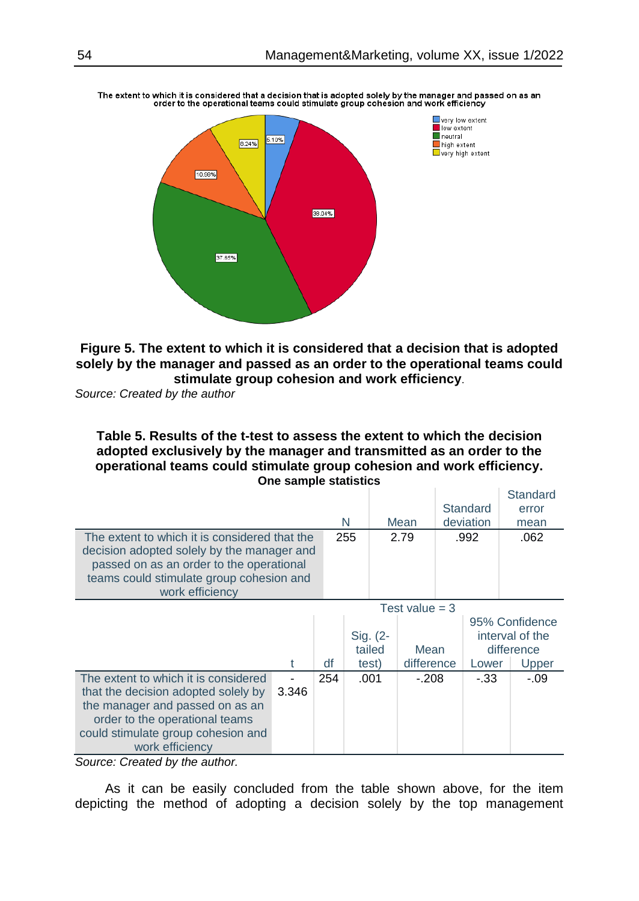

The extent to which it is considered that a decision that is adopted solely by the manager and passed on as an<br>order to the operational teams could stimulate group cohesion and work efficiency

**Figure 5. The extent to which it is considered that a decision that is adopted solely by the manager and passed as an order to the operational teams could stimulate group cohesion and work efficiency**.

*Source: Created by the author*

**Table 5. Results of the t-test to assess the extent to which the decision adopted exclusively by the manager and transmitted as an order to the operational teams could stimulate group cohesion and work efficiency. One sample statistics** 

|                                               |       |     |      |          |                  |  |          | Standard        |
|-----------------------------------------------|-------|-----|------|----------|------------------|--|----------|-----------------|
|                                               |       |     |      |          |                  |  | Standard | error           |
|                                               |       | N   | Mean |          | deviation        |  | mean     |                 |
| The extent to which it is considered that the |       |     | 255  |          | 2.79             |  | .992     | .062            |
| decision adopted solely by the manager and    |       |     |      |          |                  |  |          |                 |
| passed on as an order to the operational      |       |     |      |          |                  |  |          |                 |
| teams could stimulate group cohesion and      |       |     |      |          |                  |  |          |                 |
| work efficiency                               |       |     |      |          |                  |  |          |                 |
|                                               |       |     |      |          | Test value $=$ 3 |  |          |                 |
|                                               |       |     |      |          |                  |  |          | 95% Confidence  |
|                                               |       |     |      | Sig. (2- |                  |  |          | interval of the |
|                                               |       |     |      | tailed   | Mean             |  |          | difference      |
|                                               | t     | df  |      | test)    | difference       |  | Lower    | Upper           |
| The extent to which it is considered          |       | 254 | .001 |          | $-.208$          |  | -.33     | -.09            |
| that the decision adopted solely by           | 3.346 |     |      |          |                  |  |          |                 |
| the manager and passed on as an               |       |     |      |          |                  |  |          |                 |
| order to the operational teams                |       |     |      |          |                  |  |          |                 |
| could stimulate group cohesion and            |       |     |      |          |                  |  |          |                 |
| work efficiency                               |       |     |      |          |                  |  |          |                 |

*Source: Created by the author.*

As it can be easily concluded from the table shown above, for the item depicting the method of adopting a decision solely by the top management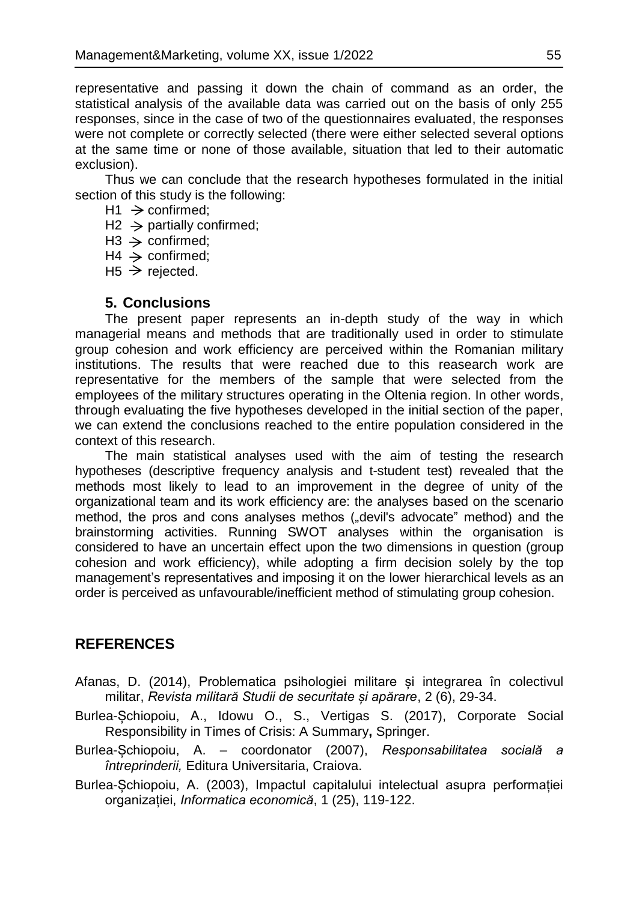representative and passing it down the chain of command as an order, the statistical analysis of the available data was carried out on the basis of only 255 responses, since in the case of two of the questionnaires evaluated, the responses were not complete or correctly selected (there were either selected several options at the same time or none of those available, situation that led to their automatic exclusion).

Thus we can conclude that the research hypotheses formulated in the initial section of this study is the following:

- $H1 \rightarrow$  confirmed:
- $H2 \rightarrow$  partially confirmed;
- $H3 \rightarrow$  confirmed;
- $H4 \rightarrow$  confirmed:
- $H5 \ge$  rejected.

# **5. Conclusions**

The present paper represents an in-depth study of the way in which managerial means and methods that are traditionally used in order to stimulate group cohesion and work efficiency are perceived within the Romanian military institutions. The results that were reached due to this reasearch work are representative for the members of the sample that were selected from the employees of the military structures operating in the Oltenia region. In other words, through evaluating the five hypotheses developed in the initial section of the paper, we can extend the conclusions reached to the entire population considered in the context of this research.

The main statistical analyses used with the aim of testing the research hypotheses (descriptive frequency analysis and t-student test) revealed that the methods most likely to lead to an improvement in the degree of unity of the organizational team and its work efficiency are: the analyses based on the scenario method, the pros and cons analyses methos ("devil's advocate" method) and the brainstorming activities. Running SWOT analyses within the organisation is considered to have an uncertain effect upon the two dimensions in question (group cohesion and work efficiency), while adopting a firm decision solely by the top management's representatives and imposing it on the lower hierarchical levels as an order is perceived as unfavourable/inefficient method of stimulating group cohesion.

# **REFERENCES**

- Afanas, D. (2014), Problematica psihologiei militare și integrarea în colectivul militar, *Revista militară Studii de securitate și apărare*, 2 (6), 29-34.
- Burlea-Șchiopoiu, A., Idowu O., S., Vertigas S. (2017), Corporate Social Responsibility in Times of Crisis: A Summary**,** Springer.
- Burlea-Șchiopoiu, A. coordonator (2007), *Responsabilitatea socială a întreprinderii,* Editura Universitaria, Craiova.
- Burlea-Șchiopoiu, A. (2003), Impactul capitalului intelectual asupra performației organizației, *Informatica economică*, 1 (25), 119-122.